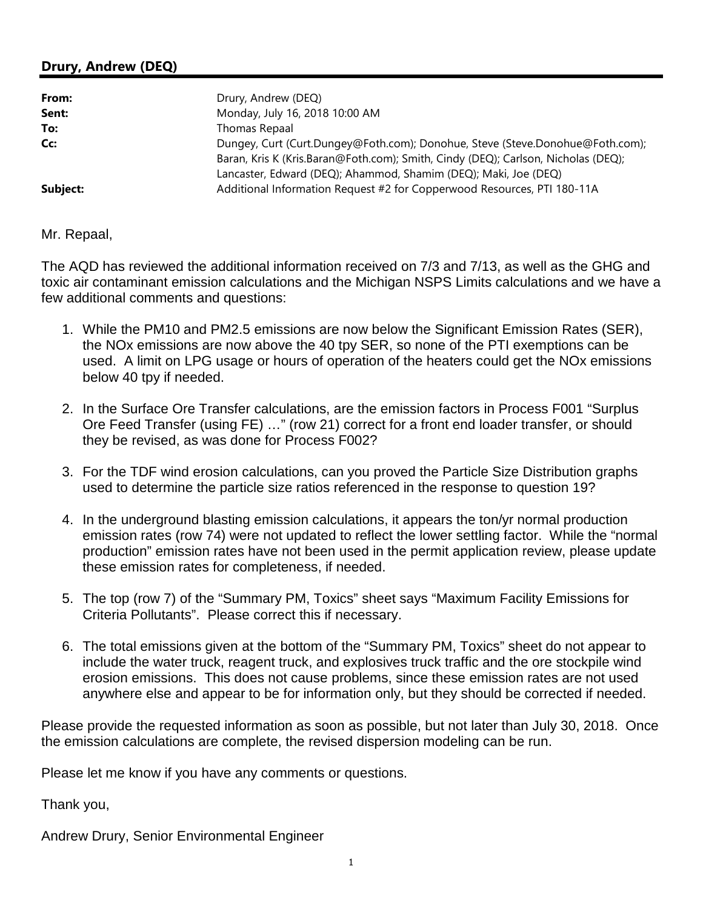## **Drury, Andrew (DEQ)**

| From:    | Drury, Andrew (DEQ)                                                                                                                                                |
|----------|--------------------------------------------------------------------------------------------------------------------------------------------------------------------|
| Sent:    | Monday, July 16, 2018 10:00 AM                                                                                                                                     |
| To:      | Thomas Repaal                                                                                                                                                      |
| Cc:      | Dungey, Curt (Curt.Dungey@Foth.com); Donohue, Steve (Steve.Donohue@Foth.com);<br>Baran, Kris K (Kris.Baran@Foth.com); Smith, Cindy (DEQ); Carlson, Nicholas (DEQ); |
| Subject: | Lancaster, Edward (DEQ); Ahammod, Shamim (DEQ); Maki, Joe (DEQ)<br>Additional Information Request #2 for Copperwood Resources, PTI 180-11A                         |

Mr. Repaal,

 The AQD has reviewed the additional information received on 7/3 and 7/13, as well as the GHG and toxic air contaminant emission calculations and the Michigan NSPS Limits calculations and we have a few additional comments and questions:

- 1. While the PM10 and PM2.5 emissions are now below the Significant Emission Rates (SER), the NOx emissions are now above the 40 tpy SER, so none of the PTI exemptions can be used. A limit on LPG usage or hours of operation of the heaters could get the NOx emissions below 40 tpy if needed.
- 2. In the Surface Ore Transfer calculations, are the emission factors in Process F001 "Surplus Ore Feed Transfer (using FE) …" (row 21) correct for a front end loader transfer, or should they be revised, as was done for Process F002?
- 3. For the TDF wind erosion calculations, can you proved the Particle Size Distribution graphs used to determine the particle size ratios referenced in the response to question 19?
- 4. In the underground blasting emission calculations, it appears the ton/yr normal production emission rates (row 74) were not updated to reflect the lower settling factor. While the "normal production" emission rates have not been used in the permit application review, please update these emission rates for completeness, if needed.
- 5. The top (row 7) of the "Summary PM, Toxics" sheet says "Maximum Facility Emissions for Criteria Pollutants". Please correct this if necessary.
- 6. The total emissions given at the bottom of the "Summary PM, Toxics" sheet do not appear to include the water truck, reagent truck, and explosives truck traffic and the ore stockpile wind erosion emissions. This does not cause problems, since these emission rates are not used anywhere else and appear to be for information only, but they should be corrected if needed.

 Please provide the requested information as soon as possible, but not later than July 30, 2018. Once the emission calculations are complete, the revised dispersion modeling can be run.

Please let me know if you have any comments or questions.

Thank you,

Andrew Drury, Senior Environmental Engineer